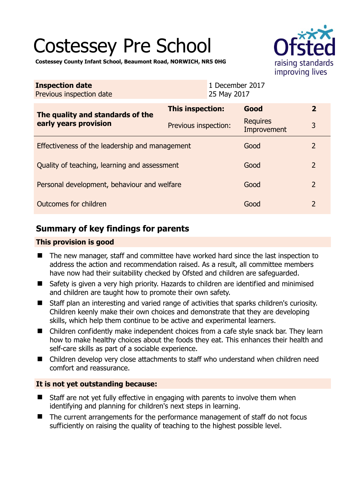# Costessey Pre School



**Costessey County Infant School, Beaumont Road, NORWICH, NR5 0HG** 

| <b>Inspection date</b><br>Previous inspection date        | 1 December 2017<br>25 May 2017 |                         |                |
|-----------------------------------------------------------|--------------------------------|-------------------------|----------------|
| The quality and standards of the<br>early years provision | This inspection:               | Good                    | $\overline{2}$ |
|                                                           | Previous inspection:           | Requires<br>Improvement | 3              |
| Effectiveness of the leadership and management            |                                | Good                    | $\overline{2}$ |
| Quality of teaching, learning and assessment              |                                | Good                    | $\overline{2}$ |
| Personal development, behaviour and welfare               |                                | Good                    | $\overline{2}$ |
| Outcomes for children                                     |                                | Good                    | $\overline{2}$ |

# **Summary of key findings for parents**

#### **This provision is good**

- The new manager, staff and committee have worked hard since the last inspection to address the action and recommendation raised. As a result, all committee members have now had their suitability checked by Ofsted and children are safeguarded.
- Safety is given a very high priority. Hazards to children are identified and minimised and children are taught how to promote their own safety.
- Staff plan an interesting and varied range of activities that sparks children's curiosity. Children keenly make their own choices and demonstrate that they are developing skills, which help them continue to be active and experimental learners.
- Children confidently make independent choices from a cafe style snack bar. They learn how to make healthy choices about the foods they eat. This enhances their health and self-care skills as part of a sociable experience.
- Children develop very close attachments to staff who understand when children need comfort and reassurance.

## **It is not yet outstanding because:**

- Staff are not yet fully effective in engaging with parents to involve them when identifying and planning for children's next steps in learning.
- The current arrangements for the performance management of staff do not focus sufficiently on raising the quality of teaching to the highest possible level.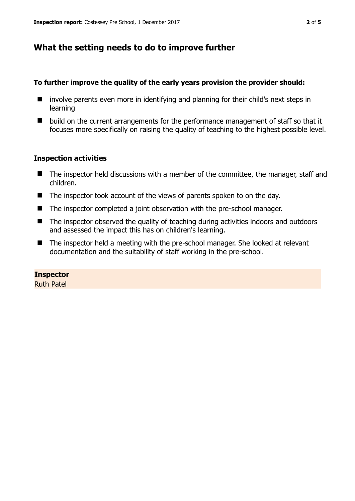## **What the setting needs to do to improve further**

#### **To further improve the quality of the early years provision the provider should:**

- $\blacksquare$  involve parents even more in identifying and planning for their child's next steps in learning
- $\blacksquare$  build on the current arrangements for the performance management of staff so that it focuses more specifically on raising the quality of teaching to the highest possible level.

#### **Inspection activities**

- The inspector held discussions with a member of the committee, the manager, staff and children.
- The inspector took account of the views of parents spoken to on the day.
- The inspector completed a joint observation with the pre-school manager.
- The inspector observed the quality of teaching during activities indoors and outdoors and assessed the impact this has on children's learning.
- The inspector held a meeting with the pre-school manager. She looked at relevant documentation and the suitability of staff working in the pre-school.

#### **Inspector**

Ruth Patel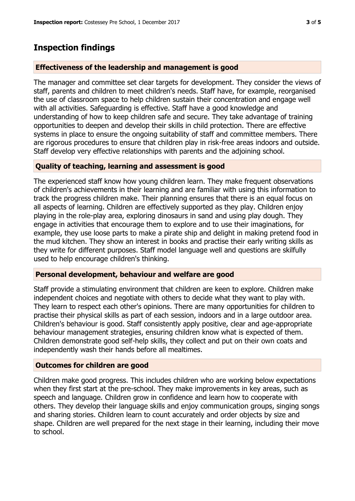# **Inspection findings**

#### **Effectiveness of the leadership and management is good**

The manager and committee set clear targets for development. They consider the views of staff, parents and children to meet children's needs. Staff have, for example, reorganised the use of classroom space to help children sustain their concentration and engage well with all activities. Safeguarding is effective. Staff have a good knowledge and understanding of how to keep children safe and secure. They take advantage of training opportunities to deepen and develop their skills in child protection. There are effective systems in place to ensure the ongoing suitability of staff and committee members. There are rigorous procedures to ensure that children play in risk-free areas indoors and outside. Staff develop very effective relationships with parents and the adjoining school.

#### **Quality of teaching, learning and assessment is good**

The experienced staff know how young children learn. They make frequent observations of children's achievements in their learning and are familiar with using this information to track the progress children make. Their planning ensures that there is an equal focus on all aspects of learning. Children are effectively supported as they play. Children enjoy playing in the role-play area, exploring dinosaurs in sand and using play dough. They engage in activities that encourage them to explore and to use their imaginations, for example, they use loose parts to make a pirate ship and delight in making pretend food in the mud kitchen. They show an interest in books and practise their early writing skills as they write for different purposes. Staff model language well and questions are skilfully used to help encourage children's thinking.

#### **Personal development, behaviour and welfare are good**

Staff provide a stimulating environment that children are keen to explore. Children make independent choices and negotiate with others to decide what they want to play with. They learn to respect each other's opinions. There are many opportunities for children to practise their physical skills as part of each session, indoors and in a large outdoor area. Children's behaviour is good. Staff consistently apply positive, clear and age-appropriate behaviour management strategies, ensuring children know what is expected of them. Children demonstrate good self-help skills, they collect and put on their own coats and independently wash their hands before all mealtimes.

## **Outcomes for children are good**

Children make good progress. This includes children who are working below expectations when they first start at the pre-school. They make improvements in key areas, such as speech and language. Children grow in confidence and learn how to cooperate with others. They develop their language skills and enjoy communication groups, singing songs and sharing stories. Children learn to count accurately and order objects by size and shape. Children are well prepared for the next stage in their learning, including their move to school.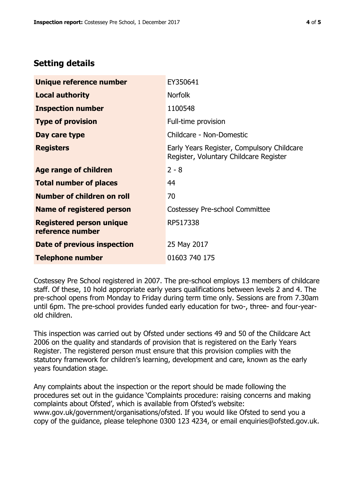## **Setting details**

| Unique reference number                             | EY350641                                                                             |  |
|-----------------------------------------------------|--------------------------------------------------------------------------------------|--|
| <b>Local authority</b>                              | <b>Norfolk</b>                                                                       |  |
| <b>Inspection number</b>                            | 1100548                                                                              |  |
| <b>Type of provision</b>                            | Full-time provision                                                                  |  |
| Day care type                                       | Childcare - Non-Domestic                                                             |  |
| <b>Registers</b>                                    | Early Years Register, Compulsory Childcare<br>Register, Voluntary Childcare Register |  |
| Age range of children                               | $2 - 8$                                                                              |  |
| <b>Total number of places</b>                       | 44                                                                                   |  |
| Number of children on roll                          | 70                                                                                   |  |
| Name of registered person                           | Costessey Pre-school Committee                                                       |  |
| <b>Registered person unique</b><br>reference number | RP517338                                                                             |  |
| Date of previous inspection                         | 25 May 2017                                                                          |  |
| <b>Telephone number</b>                             | 01603 740 175                                                                        |  |

Costessey Pre School registered in 2007. The pre-school employs 13 members of childcare staff. Of these, 10 hold appropriate early years qualifications between levels 2 and 4. The pre-school opens from Monday to Friday during term time only. Sessions are from 7.30am until 6pm. The pre-school provides funded early education for two-, three- and four-yearold children.

This inspection was carried out by Ofsted under sections 49 and 50 of the Childcare Act 2006 on the quality and standards of provision that is registered on the Early Years Register. The registered person must ensure that this provision complies with the statutory framework for children's learning, development and care, known as the early years foundation stage.

Any complaints about the inspection or the report should be made following the procedures set out in the guidance 'Complaints procedure: raising concerns and making complaints about Ofsted', which is available from Ofsted's website: www.gov.uk/government/organisations/ofsted. If you would like Ofsted to send you a copy of the guidance, please telephone 0300 123 4234, or email enquiries@ofsted.gov.uk.